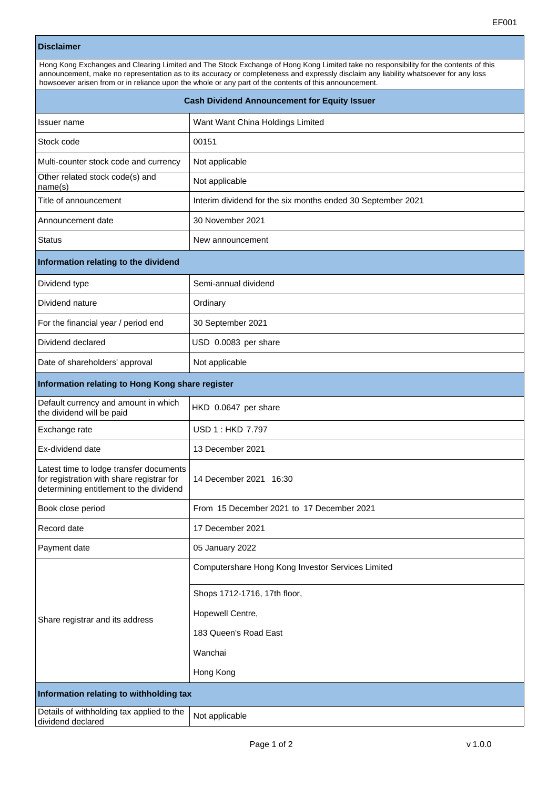## **Disclaimer**

| Hong Kong Exchanges and Clearing Limited and The Stock Exchange of Hong Kong Limited take no responsibility for the contents of this<br>announcement, make no representation as to its accuracy or completeness and expressly disclaim any liability whatsoever for any loss<br>howsoever arisen from or in reliance upon the whole or any part of the contents of this announcement. |                                  |  |
|---------------------------------------------------------------------------------------------------------------------------------------------------------------------------------------------------------------------------------------------------------------------------------------------------------------------------------------------------------------------------------------|----------------------------------|--|
| Cash Dividend Announcement for Equity Issuer                                                                                                                                                                                                                                                                                                                                          |                                  |  |
| Issuer name                                                                                                                                                                                                                                                                                                                                                                           | Want Want China Holdings Limited |  |
| Stock code                                                                                                                                                                                                                                                                                                                                                                            | 00151                            |  |

| omor conc                                                                                                                       | וטוטט                                                       |  |
|---------------------------------------------------------------------------------------------------------------------------------|-------------------------------------------------------------|--|
| Multi-counter stock code and currency                                                                                           | Not applicable                                              |  |
| Other related stock code(s) and<br>name(s)                                                                                      | Not applicable                                              |  |
| Title of announcement                                                                                                           | Interim dividend for the six months ended 30 September 2021 |  |
| Announcement date                                                                                                               | 30 November 2021                                            |  |
| <b>Status</b>                                                                                                                   | New announcement                                            |  |
| Information relating to the dividend                                                                                            |                                                             |  |
| Dividend type                                                                                                                   | Semi-annual dividend                                        |  |
| Dividend nature                                                                                                                 | Ordinary                                                    |  |
| For the financial year / period end                                                                                             | 30 September 2021                                           |  |
| Dividend declared                                                                                                               | USD 0.0083 per share                                        |  |
| Date of shareholders' approval                                                                                                  | Not applicable                                              |  |
| Information relating to Hong Kong share register                                                                                |                                                             |  |
| Default currency and amount in which<br>the dividend will be paid                                                               | HKD 0.0647 per share                                        |  |
| Exchange rate                                                                                                                   | USD 1 : HKD 7.797                                           |  |
| Ex-dividend date                                                                                                                | 13 December 2021                                            |  |
| Latest time to lodge transfer documents<br>for registration with share registrar for<br>determining entitlement to the dividend | 14 December 2021 16:30                                      |  |
| Book close period                                                                                                               | From 15 December 2021 to 17 December 2021                   |  |
| Record date                                                                                                                     | 17 December 2021                                            |  |
| Payment date                                                                                                                    | 05 January 2022                                             |  |
|                                                                                                                                 | Computershare Hong Kong Investor Services Limited           |  |
|                                                                                                                                 | Shops 1712-1716, 17th floor,                                |  |
| Share registrar and its address                                                                                                 | Hopewell Centre,                                            |  |
|                                                                                                                                 | 183 Queen's Road East                                       |  |
|                                                                                                                                 | Wanchai                                                     |  |
|                                                                                                                                 | Hong Kong                                                   |  |
| Information relating to withholding tax                                                                                         |                                                             |  |
|                                                                                                                                 |                                                             |  |